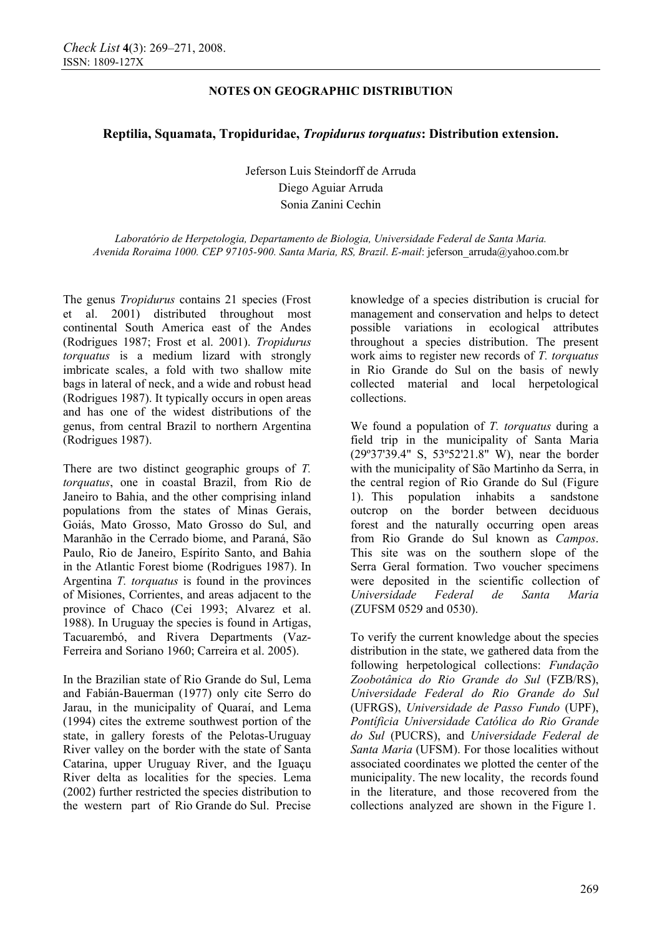# **NOTES ON GEOGRAPHIC DISTRIBUTION**

# **Reptilia, Squamata, Tropiduridae,** *Tropidurus torquatus***: Distribution extension.**

Jeferson Luis Steindorff de Arruda Diego Aguiar Arruda Sonia Zanini Cechin

*Laboratório de Herpetologia, Departamento de Biologia, Universidade Federal de Santa Maria. Avenida Roraima 1000. CEP 97105-900. Santa Maria, RS, Brazil*. *E-mail*: jeferson\_arruda@yahoo.com.br

The genus *Tropidurus* contains 21 species (Frost et al. 2001) distributed throughout most continental South America east of the Andes (Rodrigues 1987; Frost et al. 2001). *Tropidurus torquatus* is a medium lizard with strongly imbricate scales, a fold with two shallow mite bags in lateral of neck, and a wide and robust head (Rodrigues 1987). It typically occurs in open areas and has one of the widest distributions of the genus, from central Brazil to northern Argentina (Rodrigues 1987).

There are two distinct geographic groups of *T. torquatus*, one in coastal Brazil, from Rio de Janeiro to Bahia, and the other comprising inland populations from the states of Minas Gerais, Goiás, Mato Grosso, Mato Grosso do Sul, and Maranhão in the Cerrado biome, and Paraná, São Paulo, Rio de Janeiro, Espírito Santo, and Bahia in the Atlantic Forest biome (Rodrigues 1987). In Argentina *T. torquatus* is found in the provinces of Misiones, Corrientes, and areas adjacent to the province of Chaco (Cei 1993; Alvarez et al. 1988). In Uruguay the species is found in Artigas, Tacuarembó, and Rivera Departments (Vaz-Ferreira and Soriano 1960; Carreira et al. 2005).

In the Brazilian state of Rio Grande do Sul, Lema and Fabián-Bauerman (1977) only cite Serro do Jarau, in the municipality of Quaraí, and Lema (1994) cites the extreme southwest portion of the state, in gallery forests of the Pelotas-Uruguay River valley on the border with the state of Santa Catarina, upper Uruguay River, and the Iguaçu River delta as localities for the species. Lema (2002) further restricted the species distribution to the western part of Rio Grande do Sul. Precise knowledge of a species distribution is crucial for management and conservation and helps to detect possible variations in ecological attributes throughout a species distribution. The present work aims to register new records of *T. torquatus* in Rio Grande do Sul on the basis of newly collected material and local herpetological collections.

We found a population of *T. torquatus* during a field trip in the municipality of Santa Maria (29º37'39.4" S, 53º52'21.8" W), near the border with the municipality of São Martinho da Serra, in the central region of Rio Grande do Sul (Figure 1). This population inhabits a sandstone outcrop on the border between deciduous forest and the naturally occurring open areas from Rio Grande do Sul known as *Campos*. This site was on the southern slope of the Serra Geral formation. Two voucher specimens were deposited in the scientific collection of *Universidade Federal de Santa Maria*  (ZUFSM 0529 and 0530).

To verify the current knowledge about the species distribution in the state, we gathered data from the following herpetological collections: *Fundação Zoobotânica do Rio Grande do Sul* (FZB/RS), *Universidade Federal do Rio Grande do Sul* (UFRGS), *Universidade de Passo Fundo* (UPF), *Pontíficia Universidade Católica do Rio Grande do Sul* (PUCRS), and *Universidade Federal de Santa Maria* (UFSM). For those localities without associated coordinates we plotted the center of the municipality. The new locality, the records found in the literature, and those recovered from the collections analyzed are shown in the Figure 1.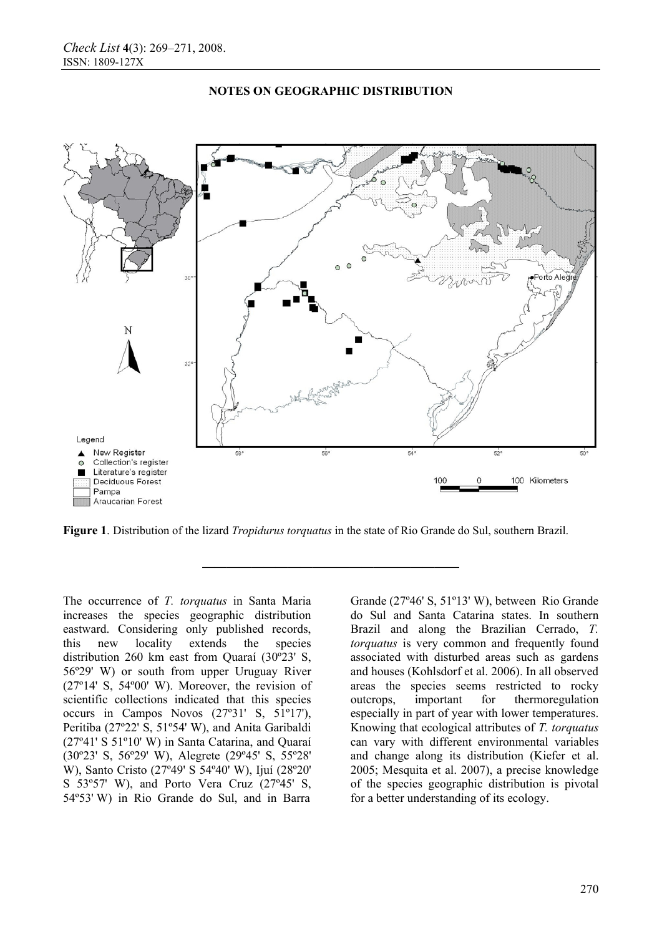

### **NOTES ON GEOGRAPHIC DISTRIBUTION**

**Figure 1**. Distribution of the lizard *Tropidurus torquatus* in the state of Rio Grande do Sul, southern Brazil.

**—————————————————————** 

The occurrence of *T. torquatus* in Santa Maria increases the species geographic distribution eastward. Considering only published records, this new locality extends the species distribution 260 km east from Quaraí (30º23' S, 56º29' W) or south from upper Uruguay River (27º14' S, 54º00' W). Moreover, the revision of scientific collections indicated that this species occurs in Campos Novos (27º31' S, 51º17'), Peritiba (27º22' S, 51º54' W), and Anita Garibaldi (27º41' S 51º10' W) in Santa Catarina, and Quaraí (30º23' S, 56º29' W), Alegrete (29º45' S, 55º28' W), Santo Cristo (27º49' S 54º40' W), Ijuí (28º20' S 53º57' W), and Porto Vera Cruz (27º45' S, 54º53' W) in Rio Grande do Sul, and in Barra

Grande (27º46' S, 51º13' W), between Rio Grande do Sul and Santa Catarina states. In southern Brazil and along the Brazilian Cerrado, *T. torquatus* is very common and frequently found associated with disturbed areas such as gardens and houses (Kohlsdorf et al. 2006). In all observed areas the species seems restricted to rocky outcrops, important for thermoregulation especially in part of year with lower temperatures. Knowing that ecological attributes of *T. torquatus*  can vary with different environmental variables and change along its distribution (Kiefer et al. 2005; Mesquita et al. 2007), a precise knowledge of the species geographic distribution is pivotal for a better understanding of its ecology.